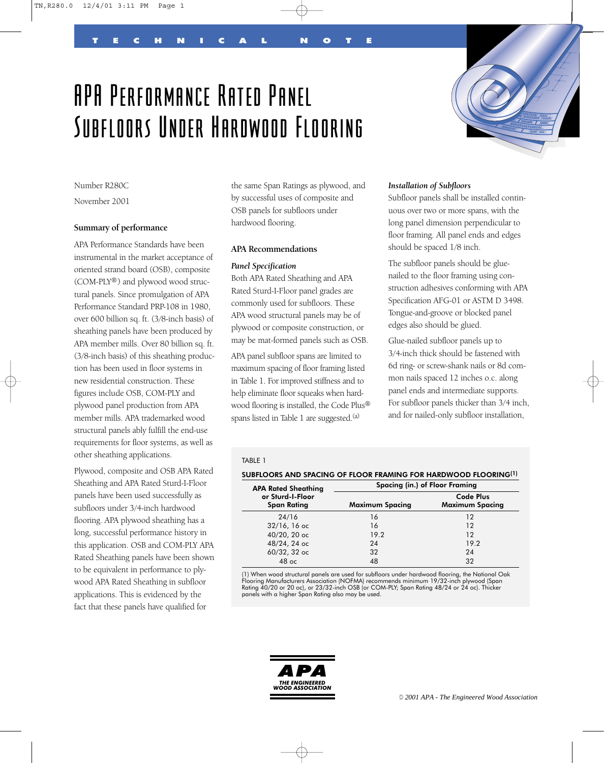# APA Performance Rated Panel Subfloors Under Hardwood Flooring

TECHNICAL NOTE



Number R280C

November 2001

## **Summary of performance**

APA Performance Standards have been instrumental in the market acceptance of oriented strand board (OSB), composite (COM-PLY®) and plywood wood structural panels. Since promulgation of APA Performance Standard PRP-108 in 1980, over 600 billion sq. ft. (3/8-inch basis) of sheathing panels have been produced by APA member mills. Over 80 billion sq. ft. (3/8-inch basis) of this sheathing production has been used in floor systems in new residential construction. These figures include OSB, COM-PLY and plywood panel production from APA member mills. APA trademarked wood structural panels ably fulfill the end-use requirements for floor systems, as well as other sheathing applications.

Plywood, composite and OSB APA Rated Sheathing and APA Rated Sturd-I-Floor panels have been used successfully as subfloors under 3/4-inch hardwood flooring. APA plywood sheathing has a long, successful performance history in this application. OSB and COM-PLY APA Rated Sheathing panels have been shown to be equivalent in performance to plywood APA Rated Sheathing in subfloor applications. This is evidenced by the fact that these panels have qualified for

the same Span Ratings as plywood, and by successful uses of composite and OSB panels for subfloors under hardwood flooring.

#### **APA Recommendations**

#### *Panel Specification*

Both APA Rated Sheathing and APA Rated Sturd-I-Floor panel grades are commonly used for subfloors. These APA wood structural panels may be of plywood or composite construction, or may be mat-formed panels such as OSB.

APA panel subfloor spans are limited to maximum spacing of floor framing listed in Table 1. For improved stiffness and to help eliminate floor squeaks when hardwood flooring is installed, the Code Plus® spans listed in Table 1 are suggested.<sup>(a)</sup>

#### *Installation of Subfloors*

Subfloor panels shall be installed continuous over two or more spans, with the long panel dimension perpendicular to floor framing. All panel ends and edges should be spaced 1/8 inch.

The subfloor panels should be gluenailed to the floor framing using construction adhesives conforming with APA Specification AFG-01 or ASTM D 3498. Tongue-and-groove or blocked panel edges also should be glued.

Glue-nailed subfloor panels up to 3/4-inch thick should be fastened with 6d ring- or screw-shank nails or 8d common nails spaced 12 inches o.c. along panel ends and intermediate supports. For subfloor panels thicker than 3/4 inch, and for nailed-only subfloor installation,

#### TABLE 1

#### SUBFLOORS AND SPACING OF FLOOR FRAMING FOR HARDWOOD FLOORING(1)

| <b>APA Rated Sheathing</b><br>or Sturd-I-Floor<br><b>Span Rating</b> | Spacing (in.) of Floor Framing |                                            |
|----------------------------------------------------------------------|--------------------------------|--------------------------------------------|
|                                                                      | <b>Maximum Spacing</b>         | <b>Code Plus</b><br><b>Maximum Spacing</b> |
| 24/16                                                                | 16                             | 12                                         |
| $32/16$ , 16 oc                                                      | 16                             | 12                                         |
| 40/20, 20 oc                                                         | 19.2                           | 12                                         |
| 48/24, 24 ос                                                         | 24                             | 19.2                                       |
| 60/32, 32 ос                                                         | 32                             | 24                                         |
| $48$ oc                                                              | 48                             | 32                                         |

(1) When wood structural panels are used for subfloors under hardwood flooring, the National Oak<br>Flooring Manufacturers Association (NOFMA) recommends minimum 19/32-inch plywood (Span<br>Rating 40/20 or 20 oc), or 23/32-inch